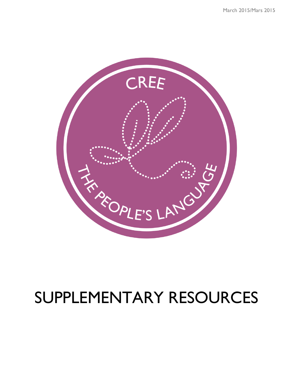

# SUPPLEMENTARY RESOURCES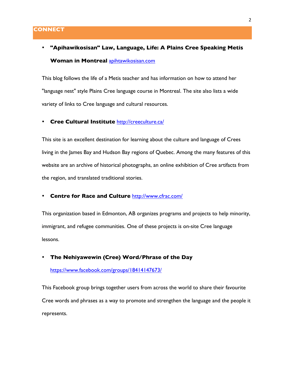# • **"Apihawikosisan" Law, Language, Life: A Plains Cree Speaking Metis Woman in Montreal** apihtawikosisan.com

This blog follows the life of a Metis teacher and has information on how to attend her "language nest" style Plains Cree language course in Montreal. The site also lists a wide variety of links to Cree language and cultural resources.

#### • **Cree Cultural Institute** http://creeculture.ca/

This site is an excellent destination for learning about the culture and language of Crees living in the James Bay and Hudson Bay regions of Quebec. Among the many features of this website are an archive of historical photographs, an online exhibition of Cree artifacts from the region, and translated traditional stories.

## • **Centre for Race and Culture** http://www.cfrac.com/

This organization based in Edmonton, AB organizes programs and projects to help minority, immigrant, and refugee communities. One of these projects is on-site Cree language lessons.

#### • **The Nehiyawewin (Cree) Word/Phrase of the Day**

https://www.facebook.com/groups/18414147673/

This Facebook group brings together users from across the world to share their favourite Cree words and phrases as a way to promote and strengthen the language and the people it represents.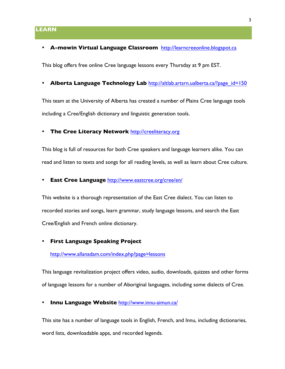# **LEARN**

#### • **A-mowin Virtual Language Classroom** http://learncreeonline.blogspot.ca

This blog offers free online Cree language lessons every Thursday at 9 pm EST.

• **Alberta Language Technology Lab** http://altlab.artsrn.ualberta.ca/?page\_id=150

This team at the University of Alberta has created a number of Plains Cree language tools including a Cree/English dictionary and linguistic generation tools.

#### • **The Cree Literacy Network** http://creeliteracy.org

This blog is full of resources for both Cree speakers and language learners alike. You can read and listen to texts and songs for all reading levels, as well as learn about Cree culture.

• **East Cree Language** http://www.eastcree.org/cree/en/

This website is a thorough representation of the East Cree dialect. You can listen to recorded stories and songs, learn grammar, study language lessons, and search the East Cree/English and French online dictionary.

#### • **First Language Speaking Project**

http://www.allanadam.com/index.php?page=lessons

This language revitalization project offers video, audio, downloads, quizzes and other forms of language lessons for a number of Aboriginal languages, including some dialects of Cree.

• **Innu Language Website** http://www.innu-aimun.ca/

This site has a number of language tools in English, French, and Innu, including dictionaries, word lists, downloadable apps, and recorded legends.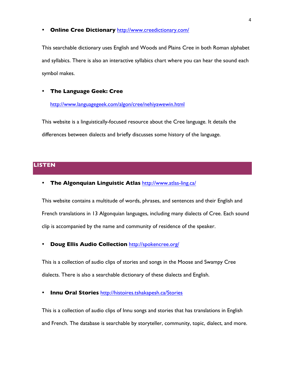#### • **Online Cree Dictionary** http://www.creedictionary.com/

This searchable dictionary uses English and Woods and Plains Cree in both Roman alphabet and syllabics. There is also an interactive syllabics chart where you can hear the sound each symbol makes.

# • **The Language Geek: Cree**

#### http://www.languagegeek.com/algon/cree/nehiyawewin.html

This website is a linguistically-focused resource about the Cree language. It details the differences between dialects and briefly discusses some history of the language.

# **LISTEN**

• **The Algonquian Linguistic Atlas** http://www.atlas-ling.ca/

This website contains a multitude of words, phrases, and sentences and their English and French translations in 13 Algonquian languages, including many dialects of Cree. Each sound clip is accompanied by the name and community of residence of the speaker.

# • **Doug Ellis Audio Collection** http://spokencree.org/

This is a collection of audio clips of stories and songs in the Moose and Swampy Cree dialects. There is also a searchable dictionary of these dialects and English.

#### • **Innu Oral Stories** http://histoires.tshakapesh.ca/Stories

This is a collection of audio clips of Innu songs and stories that has translations in English and French. The database is searchable by storyteller, community, topic, dialect, and more.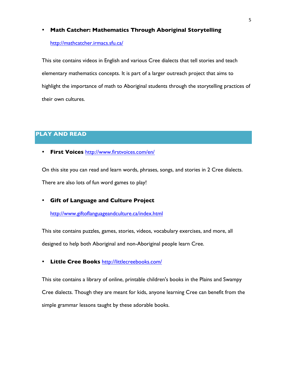## • **Math Catcher: Mathematics Through Aboriginal Storytelling**

#### http://mathcatcher.irmacs.sfu.ca/

This site contains videos in English and various Cree dialects that tell stories and teach elementary mathematics concepts. It is part of a larger outreach project that aims to highlight the importance of math to Aboriginal students through the storytelling practices of their own cultures.

# **PLAY AND READ**

• **First Voices** http://www.firstvoices.com/en/

On this site you can read and learn words, phrases, songs, and stories in 2 Cree dialects. There are also lots of fun word games to play!

• **Gift of Language and Culture Project**

http://www.giftoflanguageandculture.ca/index.html

This site contains puzzles, games, stories, videos, vocabulary exercises, and more, all

designed to help both Aboriginal and non-Aboriginal people learn Cree.

• **Little Cree Books** http://littlecreebooks.com/

This site contains a library of online, printable children's books in the Plains and Swampy Cree dialects. Though they are meant for kids, anyone learning Cree can benefit from the simple grammar lessons taught by these adorable books.